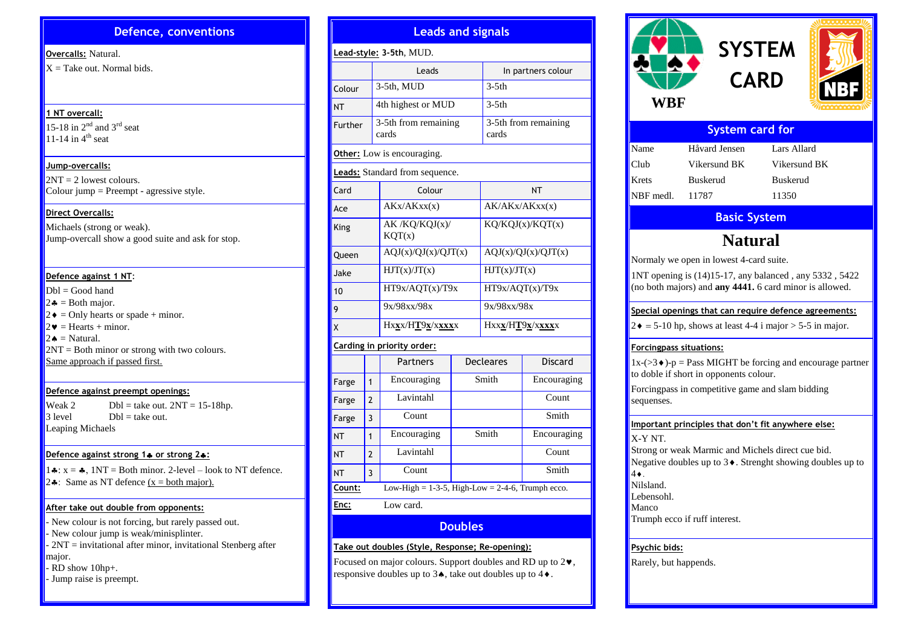#### **Defence, conventions**

#### **Overcalls:** Natural.

 $X =$ Take out. Normal bids.

#### **1 NT overcall:**

15-18 in  $2<sup>nd</sup>$  and  $3<sup>rd</sup>$  seat 11-14 in  $4^{\text{th}}$  seat

#### **Jump-overcalls:**

 $2NT = 2$  lowest colours. Colour jump = Preempt - agressive style.

#### **Direct Overcalls:**

Michaels (strong or weak). Jump-overcall show a good suite and ask for stop.

#### **Defence against 1 NT**:

 $Dhl = Good hand$  $2\clubsuit$  = Both major.  $2\bullet$  = Only hearts or spade + minor.  $2\mathbf{v}$  = Hearts + minor.  $2 \triangleleft =$  Natural. 2NT = Both minor or strong with two colours. Same approach if passed first.

#### **Defence against preempt openings:**

Weak 2 Dbl = take out.  $2NT = 15-18hp$ .<br>3 level Dbl = take out.  $Dbl =$  take out. Leaping Michaels

#### **Defence against strong 1 or strong 2:**

 $1\cdot x = 1\cdot 1NT =$  Both minor. 2-level – look to NT defence. 2... Same as NT defence  $(x = both major)$ .

#### **After take out double from opponents:**

- New colour is not forcing, but rarely passed out. - New colour jump is weak/minisplinter.  $-2NT =$  invitational after minor, invitational Stenberg after major. - RD show 10hp+.

- Jump raise is preempt.

| Lead-style: 3-5th, MUD.                                          |                |                                |       |                               |                |  |  |  |  |
|------------------------------------------------------------------|----------------|--------------------------------|-------|-------------------------------|----------------|--|--|--|--|
|                                                                  |                | Leads                          |       | In partners colour            |                |  |  |  |  |
| Colour                                                           |                | 3-5th, MUD                     |       | $3-5th$                       |                |  |  |  |  |
| <b>NT</b>                                                        |                | 4th highest or MUD             |       | $3-5th$                       |                |  |  |  |  |
| Further                                                          |                | 3-5th from remaining<br>cards  |       | 3-5th from remaining<br>cards |                |  |  |  |  |
|                                                                  |                | Other: Low is encouraging.     |       |                               |                |  |  |  |  |
|                                                                  |                | Leads: Standard from sequence. |       |                               |                |  |  |  |  |
| Card                                                             |                | Colour                         |       | NΤ                            |                |  |  |  |  |
| Ace                                                              |                | AKx/AKxx(x)                    |       | AK/AKx/AKxx(x)                |                |  |  |  |  |
| King                                                             |                | AK /KQ/KQJ(x)/<br>KQT(x)       |       | KQ/KQJ(x)/KQT(x)              |                |  |  |  |  |
| Queen                                                            |                | AQJ(x)/QJ(x)/QJT(x)            |       | AQJ(x)/QJ(x)/QJT(x)           |                |  |  |  |  |
| Jake                                                             |                | HJT(x)/JT(x)                   |       | HJT(x)/JT(x)                  |                |  |  |  |  |
| 10                                                               |                | HT9x/AQT(x)/T9x                |       | HT9x/AQT(x)/T9x               |                |  |  |  |  |
| 9                                                                |                | 9x/98xx/98x                    |       | 9x/98xx/98x                   |                |  |  |  |  |
| X                                                                |                | Hxxx/HT9x/xxxxx                |       | Hxxx/HT9x/xxxxx               |                |  |  |  |  |
|                                                                  |                | Carding in priority order:     |       |                               |                |  |  |  |  |
|                                                                  |                | Partners                       |       | <b>Decleares</b>              | <b>Discard</b> |  |  |  |  |
| Farge                                                            | $\mathbf{1}$   | Encouraging                    | Smith |                               | Encouraging    |  |  |  |  |
| Farge                                                            | $\mathfrak{p}$ | Lavintahl                      |       |                               | Count          |  |  |  |  |
| Farge                                                            | 3              | Count                          |       |                               | Smith          |  |  |  |  |
| <b>NT</b>                                                        | $\mathbf{1}$   | Encouraging                    |       | Smith                         | Encouraging    |  |  |  |  |
| <b>NT</b>                                                        | $\mathfrak{p}$ | Lavintahl                      |       |                               | Count          |  |  |  |  |
| <b>NT</b>                                                        | 3              | Count                          |       |                               | Smith          |  |  |  |  |
| Low-High = $1-3-5$ , High-Low = $2-4-6$ , Trumph ecco.<br>Count: |                |                                |       |                               |                |  |  |  |  |
| Enc:<br>Low card.                                                |                |                                |       |                               |                |  |  |  |  |

**Doubles**

Focused on major colours. Support doubles and RD up to  $2\n$ , responsive doubles up to  $3\spadesuit$ , take out doubles up to  $4\spadesuit$ .

**Take out doubles (Style, Response; Re-opening):**

**Leads and signals**

# **SYSTEM CARD WBF**

| <b>System card for</b> |               |              |  |  |  |  |  |
|------------------------|---------------|--------------|--|--|--|--|--|
| Name                   | Håvard Jensen | Lars Allard  |  |  |  |  |  |
| Club                   | Vikersund BK  | Vikersund BK |  |  |  |  |  |
| Krets                  | Buskerud      | Buskerud     |  |  |  |  |  |
| NBF medl.              | 11787         | 11350        |  |  |  |  |  |

### **Basic System**

## **Natural**

Normaly we open in lowest 4-card suite.

1NT opening is (14)15-17, any balanced , any 5332 , 5422 (no both majors) and **any 4441.** 6 card minor is allowed.

#### **Special openings that can require defence agreements:**

 $2 \cdot \bullet = 5{\text -}10$  hp, shows at least 4-4 i major > 5-5 in major.

#### **Forcingpass situations:**

 $1x-(>3)$ .  $p = Pass MIGHT$  be forcing and encourage partner to doble if short in opponents colour.

Forcingpass in competitive game and slam bidding sequenses.

#### **Important principles that don't fit anywhere else:**

X-Y NT. Strong or weak Marmic and Michels direct cue bid. Negative doubles up to  $3\blacklozenge$ . Strenght showing doubles up to  $4\bullet$ <sup> $\overline{ }$ </sup> Nilsland. Lebensohl. Manco

Trumph ecco if ruff interest.

#### **Psychic bids:**

Rarely, but happends.